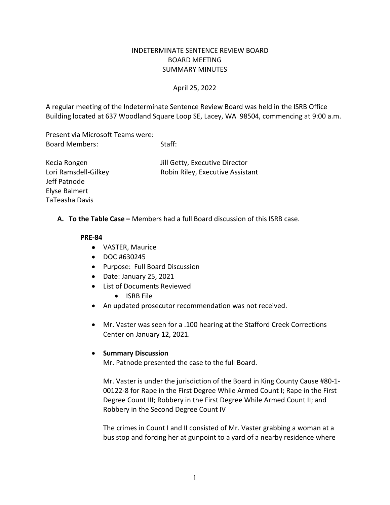## INDETERMINATE SENTENCE REVIEW BOARD BOARD MEETING SUMMARY MINUTES

### April 25, 2022

A regular meeting of the Indeterminate Sentence Review Board was held in the ISRB Office Building located at 637 Woodland Square Loop SE, Lacey, WA 98504, commencing at 9:00 a.m.

Present via Microsoft Teams were: Board Members: Staff:

Kecia Rongen **In the Community** Secure Jill Getty, Executive Director Lori Ramsdell-Gilkey Robin Riley, Executive Assistant Jeff Patnode Elyse Balmert TaTeasha Davis

**A. To the Table Case –** Members had a full Board discussion of this ISRB case.

#### **PRE-84**

- VASTER, Maurice
- DOC #630245
- Purpose: Full Board Discussion
- Date: January 25, 2021
- List of Documents Reviewed
	- ISRB File
- An updated prosecutor recommendation was not received.
- Mr. Vaster was seen for a .100 hearing at the Stafford Creek Corrections Center on January 12, 2021.

### • **Summary Discussion**

Mr. Patnode presented the case to the full Board.

Mr. Vaster is under the jurisdiction of the Board in King County Cause #80-1- 00122-8 for Rape in the First Degree While Armed Count I; Rape in the First Degree Count III; Robbery in the First Degree While Armed Count II; and Robbery in the Second Degree Count IV

The crimes in Count I and II consisted of Mr. Vaster grabbing a woman at a bus stop and forcing her at gunpoint to a yard of a nearby residence where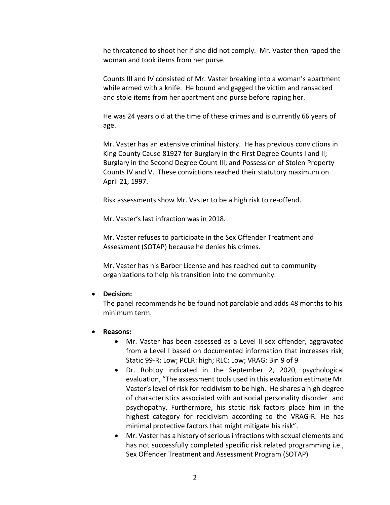he threatened to shoot her if she did not comply. Mr. Vaster then raped the woman and took items from her purse.

Counts III and IV consisted of Mr. Vaster breaking into a woman's apartment while armed with a knife. He bound and gagged the victim and ransacked and stole items from her apartment and purse before raping her.

He was 24 years old at the time of these crimes and is currently 66 years of age.

Mr. Vaster has an extensive criminal history. He has previous convictions in King County Cause 81927 for Burglary in the First Degree Counts I and II; Burglary in the Second Degree Count III; and Possession of Stolen Property Counts IV and V. These convictions reached their statutory maximum on April 21, 1997.

Risk assessments show Mr. Vaster to be a high risk to re-offend.

Mr. Vaster's last infraction was in 2018.

Mr. Vaster refuses to participate in the Sex Offender Treatment and Assessment (SOTAP) because he denies his crimes.

Mr. Vaster has his Barber License and has reached out to community organizations to help his transition into the community.

# • **Decision:**

The panel recommends he be found not parolable and adds 48 months to his minimum term.

# • **Reasons:**

- Mr. Vaster has been assessed as a Level II sex offender, aggravated from a Level I based on documented information that increases risk; Static 99-R: Low; PCLR: high; RLC: Low; VRAG: Bin 9 of 9
- Dr. Robtoy indicated in the September 2, 2020, psychological evaluation, "The assessment tools used in this evaluation estimate Mr. Vaster's level of risk for recidivism to be high. He shares a high degree of characteristics associated with antisocial personality disorder and psychopathy. Furthermore, his static risk factors place him in the highest category for recidivism according to the VRAG-R. He has minimal protective factors that might mitigate his risk".
- Mr. Vaster has a history of serious infractions with sexual elements and has not successfully completed specific risk related programming i.e., Sex Offender Treatment and Assessment Program (SOTAP)